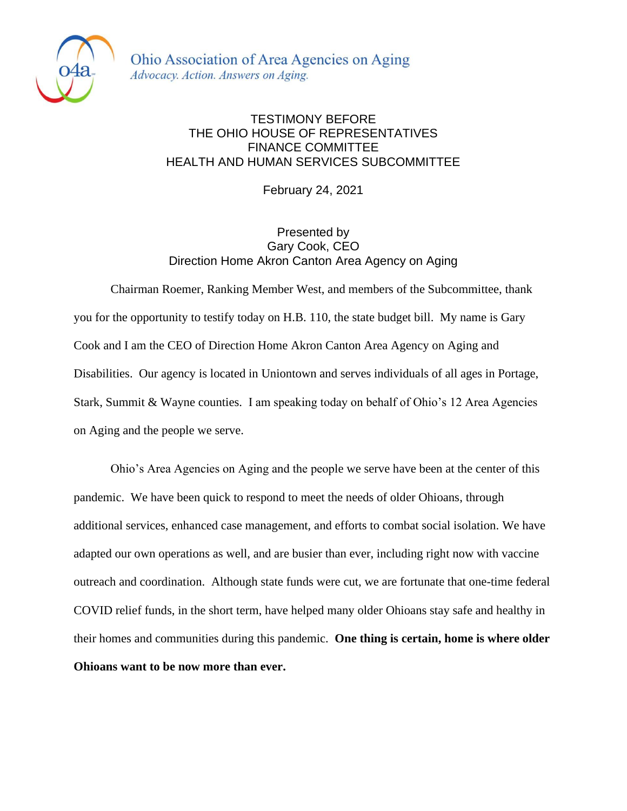

Ohio Association of Area Agencies on Aging Advocacy. Action. Answers on Aging.

## TESTIMONY BEFORE THE OHIO HOUSE OF REPRESENTATIVES FINANCE COMMITTEE HEALTH AND HUMAN SERVICES SUBCOMMITTEE

February 24, 2021

## Presented by Gary Cook, CEO Direction Home Akron Canton Area Agency on Aging

Chairman Roemer, Ranking Member West, and members of the Subcommittee, thank you for the opportunity to testify today on H.B. 110, the state budget bill. My name is Gary Cook and I am the CEO of Direction Home Akron Canton Area Agency on Aging and Disabilities. Our agency is located in Uniontown and serves individuals of all ages in Portage, Stark, Summit & Wayne counties. I am speaking today on behalf of Ohio's 12 Area Agencies on Aging and the people we serve.

Ohio's Area Agencies on Aging and the people we serve have been at the center of this pandemic. We have been quick to respond to meet the needs of older Ohioans, through additional services, enhanced case management, and efforts to combat social isolation. We have adapted our own operations as well, and are busier than ever, including right now with vaccine outreach and coordination. Although state funds were cut, we are fortunate that one-time federal COVID relief funds, in the short term, have helped many older Ohioans stay safe and healthy in their homes and communities during this pandemic. **One thing is certain, home is where older Ohioans want to be now more than ever.**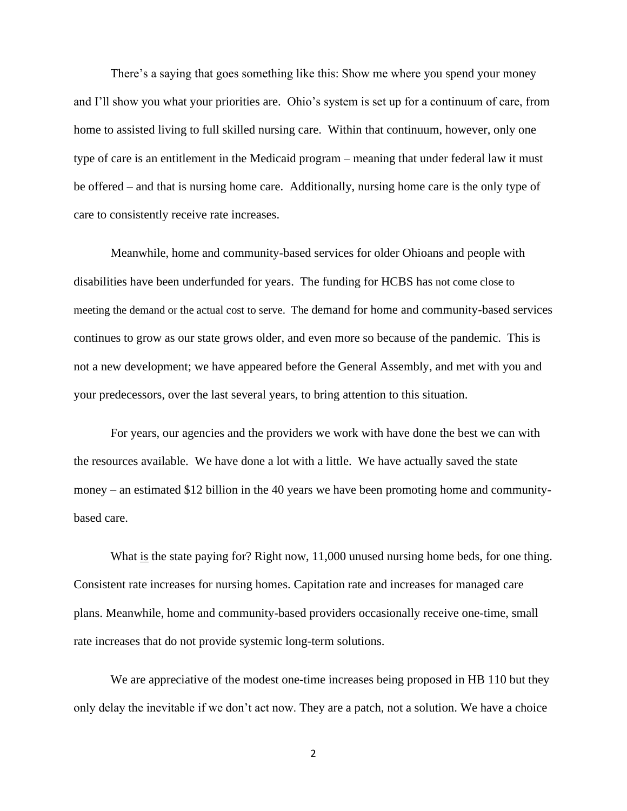There's a saying that goes something like this: Show me where you spend your money and I'll show you what your priorities are. Ohio's system is set up for a continuum of care, from home to assisted living to full skilled nursing care. Within that continuum, however, only one type of care is an entitlement in the Medicaid program – meaning that under federal law it must be offered – and that is nursing home care. Additionally, nursing home care is the only type of care to consistently receive rate increases.

Meanwhile, home and community-based services for older Ohioans and people with disabilities have been underfunded for years. The funding for HCBS has not come close to meeting the demand or the actual cost to serve. The demand for home and community-based services continues to grow as our state grows older, and even more so because of the pandemic. This is not a new development; we have appeared before the General Assembly, and met with you and your predecessors, over the last several years, to bring attention to this situation.

For years, our agencies and the providers we work with have done the best we can with the resources available. We have done a lot with a little. We have actually saved the state money – an estimated \$12 billion in the 40 years we have been promoting home and communitybased care.

What is the state paying for? Right now, 11,000 unused nursing home beds, for one thing. Consistent rate increases for nursing homes. Capitation rate and increases for managed care plans. Meanwhile, home and community-based providers occasionally receive one-time, small rate increases that do not provide systemic long-term solutions.

We are appreciative of the modest one-time increases being proposed in HB 110 but they only delay the inevitable if we don't act now. They are a patch, not a solution. We have a choice

2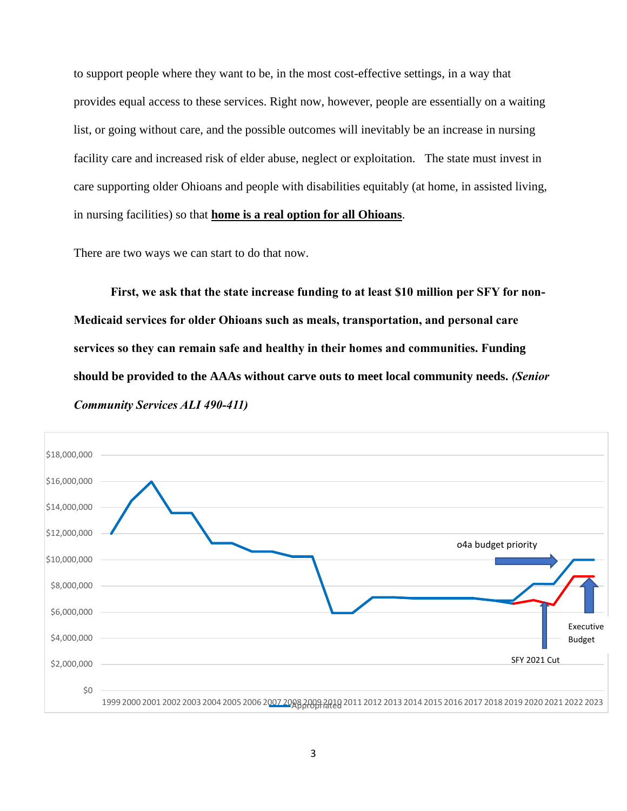to support people where they want to be, in the most cost-effective settings, in a way that provides equal access to these services. Right now, however, people are essentially on a waiting list, or going without care, and the possible outcomes will inevitably be an increase in nursing facility care and increased risk of elder abuse, neglect or exploitation. The state must invest in care supporting older Ohioans and people with disabilities equitably (at home, in assisted living, in nursing facilities) so that **home is a real option for all Ohioans**.

There are two ways we can start to do that now.

**First, we ask that the state increase funding to at least \$10 million per SFY for non-Medicaid services for older Ohioans such as meals, transportation, and personal care services so they can remain safe and healthy in their homes and communities. Funding should be provided to the AAAs without carve outs to meet local community needs.** *(Senior Community Services ALI 490-411)*

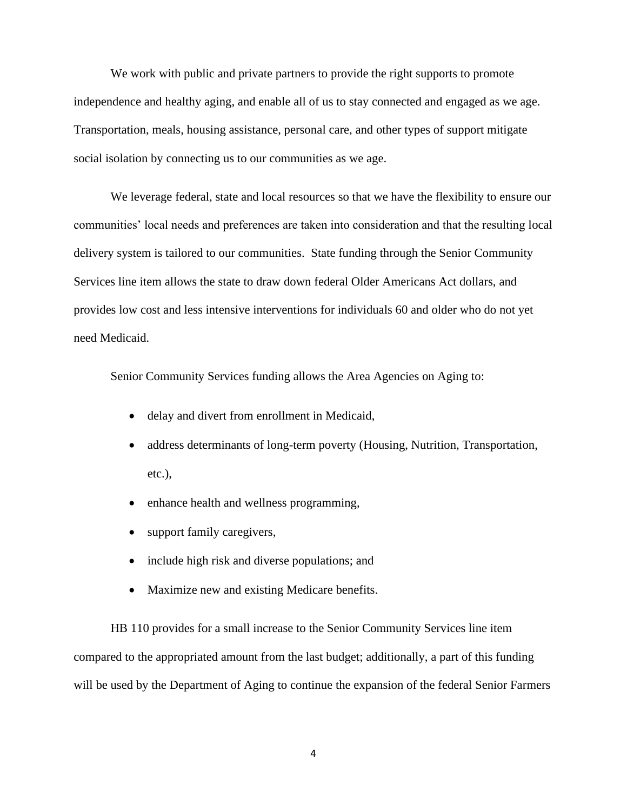We work with public and private partners to provide the right supports to promote independence and healthy aging, and enable all of us to stay connected and engaged as we age. Transportation, meals, housing assistance, personal care, and other types of support mitigate social isolation by connecting us to our communities as we age.

We leverage federal, state and local resources so that we have the flexibility to ensure our communities' local needs and preferences are taken into consideration and that the resulting local delivery system is tailored to our communities. State funding through the Senior Community Services line item allows the state to draw down federal Older Americans Act dollars, and provides low cost and less intensive interventions for individuals 60 and older who do not yet need Medicaid.

Senior Community Services funding allows the Area Agencies on Aging to:

- delay and divert from enrollment in Medicaid,
- address determinants of long-term poverty (Housing, Nutrition, Transportation, etc.),
- enhance health and wellness programming,
- support family caregivers,
- include high risk and diverse populations; and
- Maximize new and existing Medicare benefits.

HB 110 provides for a small increase to the Senior Community Services line item compared to the appropriated amount from the last budget; additionally, a part of this funding will be used by the Department of Aging to continue the expansion of the federal Senior Farmers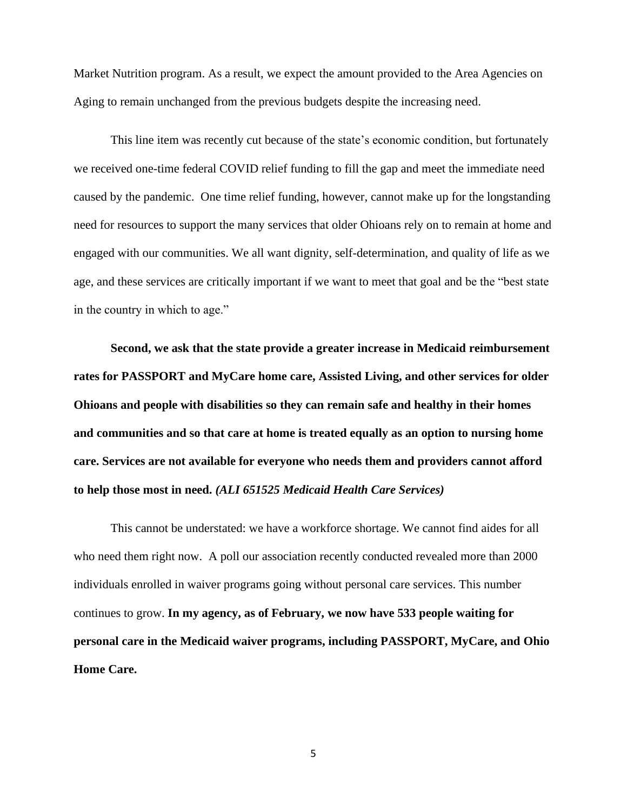Market Nutrition program. As a result, we expect the amount provided to the Area Agencies on Aging to remain unchanged from the previous budgets despite the increasing need.

This line item was recently cut because of the state's economic condition, but fortunately we received one-time federal COVID relief funding to fill the gap and meet the immediate need caused by the pandemic. One time relief funding, however, cannot make up for the longstanding need for resources to support the many services that older Ohioans rely on to remain at home and engaged with our communities. We all want dignity, self-determination, and quality of life as we age, and these services are critically important if we want to meet that goal and be the "best state in the country in which to age."

**Second, we ask that the state provide a greater increase in Medicaid reimbursement rates for PASSPORT and MyCare home care, Assisted Living, and other services for older Ohioans and people with disabilities so they can remain safe and healthy in their homes and communities and so that care at home is treated equally as an option to nursing home care. Services are not available for everyone who needs them and providers cannot afford to help those most in need.** *(ALI 651525 Medicaid Health Care Services)*

This cannot be understated: we have a workforce shortage. We cannot find aides for all who need them right now. A poll our association recently conducted revealed more than 2000 individuals enrolled in waiver programs going without personal care services. This number continues to grow. **In my agency, as of February, we now have 533 people waiting for personal care in the Medicaid waiver programs, including PASSPORT, MyCare, and Ohio Home Care.**